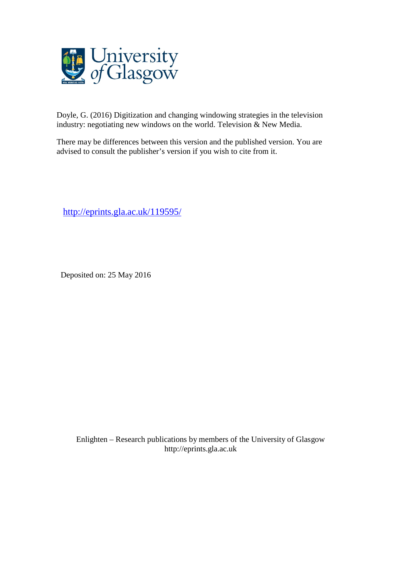

Doyle, G. (2016) Digitization and changing windowing strategies in the television industry: negotiating new windows on the world. Television & New Media.

There may be differences between this version and the published version. You are advised to consult the publisher's version if you wish to cite from it.

<http://eprints.gla.ac.uk/119595/>

Deposited on: 25 May 2016

Enlighten – Research publications by members of the University of Glasgo[w](http://eprints.gla.ac.uk/) [http://eprints.gla.ac.uk](http://eprints.gla.ac.uk/)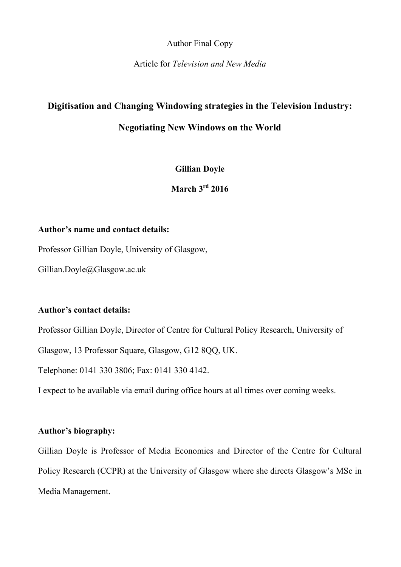Author Final Copy

Article for *Television and New Media*

# **Digitisation and Changing Windowing strategies in the Television Industry:**

# **Negotiating New Windows on the World**

**Gillian Doyle**

**March 3rd 2016**

## **Author's name and contact details:**

Professor Gillian Doyle, University of Glasgow,

Gillian.Doyle@Glasgow.ac.uk

## **Author's contact details:**

Professor Gillian Doyle, Director of Centre for Cultural Policy Research, University of

Glasgow, 13 Professor Square, Glasgow, G12 8OO, UK.

Telephone: 0141 330 3806; Fax: 0141 330 4142.

I expect to be available via email during office hours at all times over coming weeks.

## **Author's biography:**

Gillian Doyle is Professor of Media Economics and Director of the Centre for Cultural Policy Research (CCPR) at the University of Glasgow where she directs Glasgow's MSc in Media Management.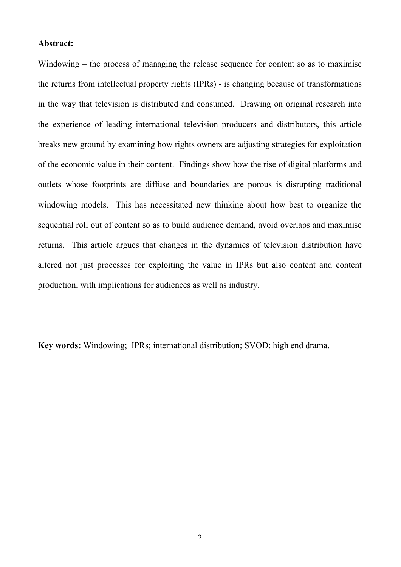#### **Abstract:**

Windowing – the process of managing the release sequence for content so as to maximise the returns from intellectual property rights (IPRs) - is changing because of transformations in the way that television is distributed and consumed. Drawing on original research into the experience of leading international television producers and distributors, this article breaks new ground by examining how rights owners are adjusting strategies for exploitation of the economic value in their content. Findings show how the rise of digital platforms and outlets whose footprints are diffuse and boundaries are porous is disrupting traditional windowing models. This has necessitated new thinking about how best to organize the sequential roll out of content so as to build audience demand, avoid overlaps and maximise returns. This article argues that changes in the dynamics of television distribution have altered not just processes for exploiting the value in IPRs but also content and content production, with implications for audiences as well as industry.

**Key words:** Windowing;IPRs; international distribution; SVOD; high end drama.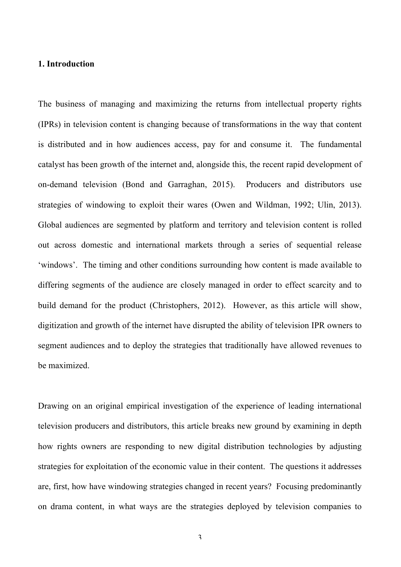## **1. Introduction**

The business of managing and maximizing the returns from intellectual property rights (IPRs) in television content is changing because of transformations in the way that content is distributed and in how audiences access, pay for and consume it. The fundamental catalyst has been growth of the internet and, alongside this, the recent rapid development of on-demand television (Bond and Garraghan, 2015). Producers and distributors use strategies of windowing to exploit their wares (Owen and Wildman, 1992; Ulin, 2013). Global audiences are segmented by platform and territory and television content is rolled out across domestic and international markets through a series of sequential release 'windows'. The timing and other conditions surrounding how content is made available to differing segments of the audience are closely managed in order to effect scarcity and to build demand for the product (Christophers, 2012). However, as this article will show, digitization and growth of the internet have disrupted the ability of television IPR owners to segment audiences and to deploy the strategies that traditionally have allowed revenues to be maximized.

Drawing on an original empirical investigation of the experience of leading international television producers and distributors, this article breaks new ground by examining in depth how rights owners are responding to new digital distribution technologies by adjusting strategies for exploitation of the economic value in their content. The questions it addresses are, first, how have windowing strategies changed in recent years? Focusing predominantly on drama content, in what ways are the strategies deployed by television companies to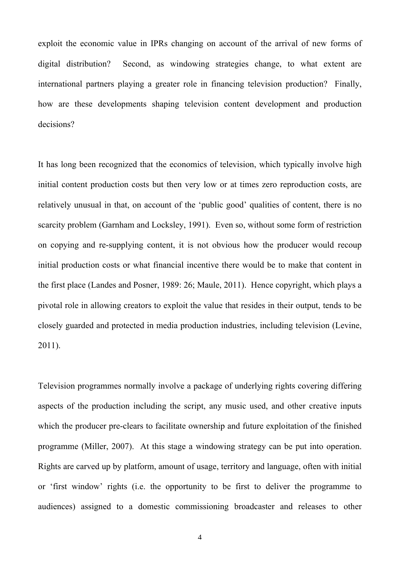exploit the economic value in IPRs changing on account of the arrival of new forms of digital distribution? Second, as windowing strategies change, to what extent are international partners playing a greater role in financing television production? Finally, how are these developments shaping television content development and production decisions?

It has long been recognized that the economics of television, which typically involve high initial content production costs but then very low or at times zero reproduction costs, are relatively unusual in that, on account of the 'public good' qualities of content, there is no scarcity problem (Garnham and Locksley, 1991). Even so, without some form of restriction on copying and re-supplying content, it is not obvious how the producer would recoup initial production costs or what financial incentive there would be to make that content in the first place (Landes and Posner, 1989: 26; Maule, 2011). Hence copyright, which plays a pivotal role in allowing creators to exploit the value that resides in their output, tends to be closely guarded and protected in media production industries, including television (Levine, 2011).

Television programmes normally involve a package of underlying rights covering differing aspects of the production including the script, any music used, and other creative inputs which the producer pre-clears to facilitate ownership and future exploitation of the finished programme (Miller, 2007). At this stage a windowing strategy can be put into operation. Rights are carved up by platform, amount of usage, territory and language, often with initial or 'first window' rights (i.e. the opportunity to be first to deliver the programme to audiences) assigned to a domestic commissioning broadcaster and releases to other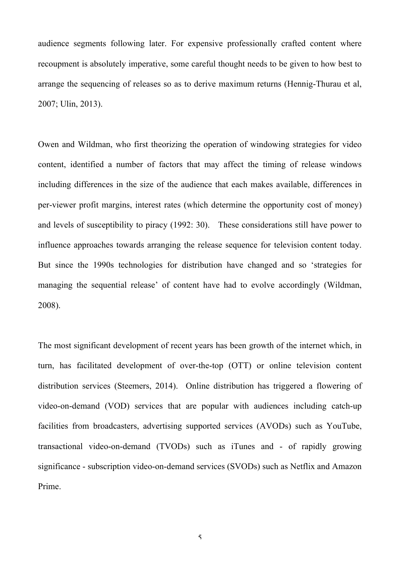audience segments following later. For expensive professionally crafted content where recoupment is absolutely imperative, some careful thought needs to be given to how best to arrange the sequencing of releases so as to derive maximum returns (Hennig-Thurau et al, 2007; Ulin, 2013).

Owen and Wildman, who first theorizing the operation of windowing strategies for video content, identified a number of factors that may affect the timing of release windows including differences in the size of the audience that each makes available, differences in per-viewer profit margins, interest rates (which determine the opportunity cost of money) and levels of susceptibility to piracy (1992: 30). These considerations still have power to influence approaches towards arranging the release sequence for television content today. But since the 1990s technologies for distribution have changed and so 'strategies for managing the sequential release' of content have had to evolve accordingly (Wildman, 2008).

The most significant development of recent years has been growth of the internet which, in turn, has facilitated development of over-the-top (OTT) or online television content distribution services (Steemers, 2014). Online distribution has triggered a flowering of video-on-demand (VOD) services that are popular with audiences including catch-up facilities from broadcasters, advertising supported services (AVODs) such as YouTube, transactional video-on-demand (TVODs) such as iTunes and - of rapidly growing significance - subscription video-on-demand services (SVODs) such as Netflix and Amazon Prime.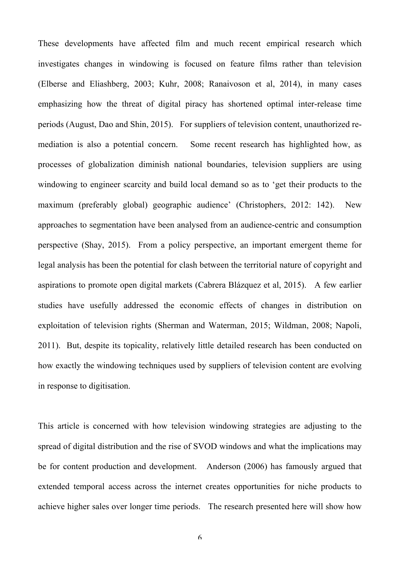These developments have affected film and much recent empirical research which investigates changes in windowing is focused on feature films rather than television (Elberse and Eliashberg, 2003; Kuhr, 2008; Ranaivoson et al, 2014), in many cases emphasizing how the threat of digital piracy has shortened optimal inter-release time periods (August, Dao and Shin, 2015). For suppliers of television content, unauthorized remediation is also a potential concern. Some recent research has highlighted how, as processes of globalization diminish national boundaries, television suppliers are using windowing to engineer scarcity and build local demand so as to 'get their products to the maximum (preferably global) geographic audience' (Christophers, 2012: 142). New approaches to segmentation have been analysed from an audience-centric and consumption perspective (Shay, 2015). From a policy perspective, an important emergent theme for legal analysis has been the potential for clash between the territorial nature of copyright and aspirations to promote open digital markets (Cabrera Blázquez et al, 2015). A few earlier studies have usefully addressed the economic effects of changes in distribution on exploitation of television rights (Sherman and Waterman, 2015; Wildman, 2008; Napoli, 2011). But, despite its topicality, relatively little detailed research has been conducted on how exactly the windowing techniques used by suppliers of television content are evolving in response to digitisation.

This article is concerned with how television windowing strategies are adjusting to the spread of digital distribution and the rise of SVOD windows and what the implications may be for content production and development. Anderson (2006) has famously argued that extended temporal access across the internet creates opportunities for niche products to achieve higher sales over longer time periods. The research presented here will show how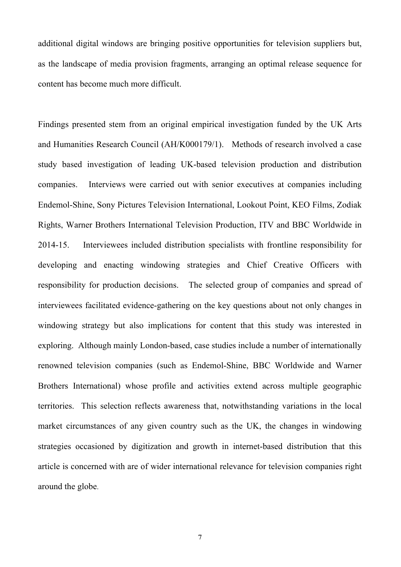additional digital windows are bringing positive opportunities for television suppliers but, as the landscape of media provision fragments, arranging an optimal release sequence for content has become much more difficult.

Findings presented stem from an original empirical investigation funded by the UK Arts and Humanities Research Council (AH/K000179/1). Methods of research involved a case study based investigation of leading UK-based television production and distribution companies. Interviews were carried out with senior executives at companies including Endemol-Shine, Sony Pictures Television International, Lookout Point, KEO Films, Zodiak Rights, Warner Brothers International Television Production, ITV and BBC Worldwide in 2014-15. Interviewees included distribution specialists with frontline responsibility for developing and enacting windowing strategies and Chief Creative Officers with responsibility for production decisions. The selected group of companies and spread of interviewees facilitated evidence-gathering on the key questions about not only changes in windowing strategy but also implications for content that this study was interested in exploring. Although mainly London-based, case studies include a number of internationally renowned television companies (such as Endemol-Shine, BBC Worldwide and Warner Brothers International) whose profile and activities extend across multiple geographic territories. This selection reflects awareness that, notwithstanding variations in the local market circumstances of any given country such as the UK, the changes in windowing strategies occasioned by digitization and growth in internet-based distribution that this article is concerned with are of wider international relevance for television companies right around the globe.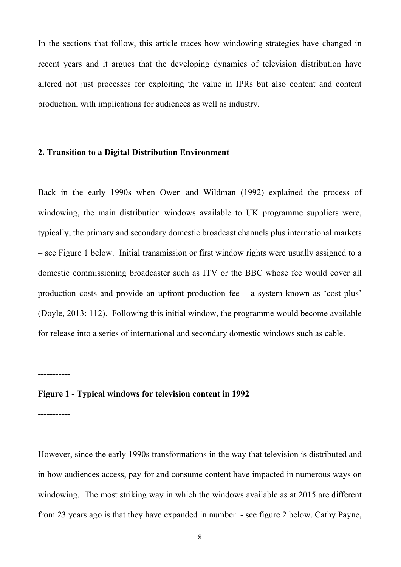In the sections that follow, this article traces how windowing strategies have changed in recent years and it argues that the developing dynamics of television distribution have altered not just processes for exploiting the value in IPRs but also content and content production, with implications for audiences as well as industry.

#### **2. Transition to a Digital Distribution Environment**

Back in the early 1990s when Owen and Wildman (1992) explained the process of windowing, the main distribution windows available to UK programme suppliers were, typically, the primary and secondary domestic broadcast channels plus international markets – see Figure 1 below. Initial transmission or first window rights were usually assigned to a domestic commissioning broadcaster such as ITV or the BBC whose fee would cover all production costs and provide an upfront production fee – a system known as 'cost plus' (Doyle, 2013: 112). Following this initial window, the programme would become available for release into a series of international and secondary domestic windows such as cable.

#### **Figure 1 - Typical windows for television content in 1992**

**-----------**

**-----------**

However, since the early 1990s transformations in the way that television is distributed and in how audiences access, pay for and consume content have impacted in numerous ways on windowing. The most striking way in which the windows available as at 2015 are different from 23 years ago is that they have expanded in number - see figure 2 below. Cathy Payne,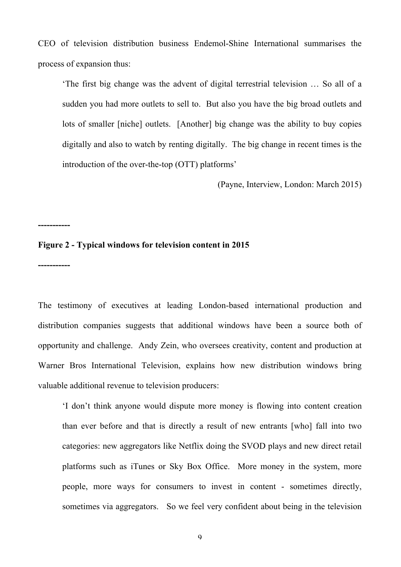CEO of television distribution business Endemol-Shine International summarises the process of expansion thus:

'The first big change was the advent of digital terrestrial television … So all of a sudden you had more outlets to sell to. But also you have the big broad outlets and lots of smaller [niche] outlets. [Another] big change was the ability to buy copies digitally and also to watch by renting digitally. The big change in recent times is the introduction of the over-the-top (OTT) platforms'

(Payne, Interview, London: March 2015)

#### **Figure 2 - Typical windows for television content in 2015**

**-----------**

**-----------**

The testimony of executives at leading London-based international production and distribution companies suggests that additional windows have been a source both of opportunity and challenge. Andy Zein, who oversees creativity, content and production at Warner Bros International Television, explains how new distribution windows bring valuable additional revenue to television producers:

'I don't think anyone would dispute more money is flowing into content creation than ever before and that is directly a result of new entrants [who] fall into two categories: new aggregators like Netflix doing the SVOD plays and new direct retail platforms such as iTunes or Sky Box Office. More money in the system, more people, more ways for consumers to invest in content - sometimes directly, sometimes via aggregators. So we feel very confident about being in the television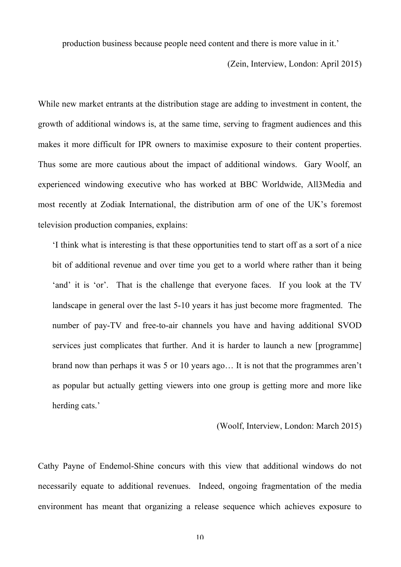production business because people need content and there is more value in it.'

(Zein, Interview, London: April 2015)

While new market entrants at the distribution stage are adding to investment in content, the growth of additional windows is, at the same time, serving to fragment audiences and this makes it more difficult for IPR owners to maximise exposure to their content properties. Thus some are more cautious about the impact of additional windows. Gary Woolf, an experienced windowing executive who has worked at BBC Worldwide, All3Media and most recently at Zodiak International, the distribution arm of one of the UK's foremost television production companies, explains:

'I think what is interesting is that these opportunities tend to start off as a sort of a nice bit of additional revenue and over time you get to a world where rather than it being 'and' it is 'or'. That is the challenge that everyone faces. If you look at the TV landscape in general over the last 5-10 years it has just become more fragmented. The number of pay-TV and free-to-air channels you have and having additional SVOD services just complicates that further. And it is harder to launch a new [programme] brand now than perhaps it was 5 or 10 years ago… It is not that the programmes aren't as popular but actually getting viewers into one group is getting more and more like herding cats.'

(Woolf, Interview, London: March 2015)

Cathy Payne of Endemol-Shine concurs with this view that additional windows do not necessarily equate to additional revenues. Indeed, ongoing fragmentation of the media environment has meant that organizing a release sequence which achieves exposure to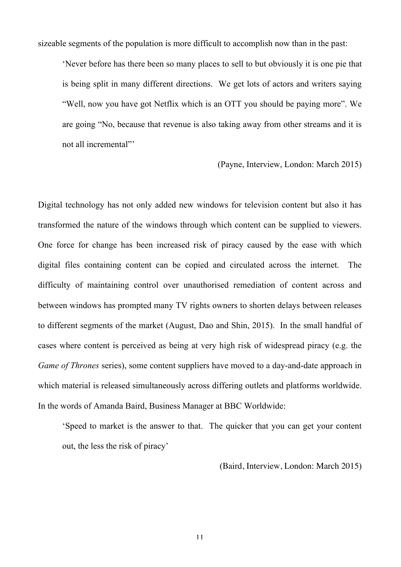sizeable segments of the population is more difficult to accomplish now than in the past:

'Never before has there been so many places to sell to but obviously it is one pie that is being split in many different directions. We get lots of actors and writers saying "Well, now you have got Netflix which is an OTT you should be paying more". We are going "No, because that revenue is also taking away from other streams and it is not all incremental"'

(Payne, Interview, London: March 2015)

Digital technology has not only added new windows for television content but also it has transformed the nature of the windows through which content can be supplied to viewers. One force for change has been increased risk of piracy caused by the ease with which digital files containing content can be copied and circulated across the internet. The difficulty of maintaining control over unauthorised remediation of content across and between windows has prompted many TV rights owners to shorten delays between releases to different segments of the market (August, Dao and Shin, 2015). In the small handful of cases where content is perceived as being at very high risk of widespread piracy (e.g. the *Game of Thrones* series), some content suppliers have moved to a day-and-date approach in which material is released simultaneously across differing outlets and platforms worldwide. In the words of Amanda Baird, Business Manager at BBC Worldwide:

'Speed to market is the answer to that. The quicker that you can get your content out, the less the risk of piracy'

(Baird, Interview, London: March 2015)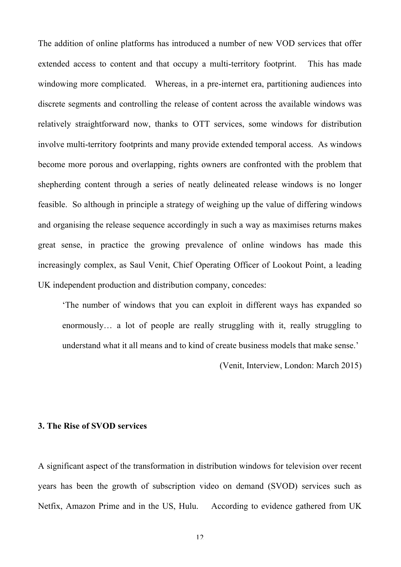The addition of online platforms has introduced a number of new VOD services that offer extended access to content and that occupy a multi-territory footprint. This has made windowing more complicated. Whereas, in a pre-internet era, partitioning audiences into discrete segments and controlling the release of content across the available windows was relatively straightforward now, thanks to OTT services, some windows for distribution involve multi-territory footprints and many provide extended temporal access. As windows become more porous and overlapping, rights owners are confronted with the problem that shepherding content through a series of neatly delineated release windows is no longer feasible. So although in principle a strategy of weighing up the value of differing windows and organising the release sequence accordingly in such a way as maximises returns makes great sense, in practice the growing prevalence of online windows has made this increasingly complex, as Saul Venit, Chief Operating Officer of Lookout Point, a leading UK independent production and distribution company, concedes:

'The number of windows that you can exploit in different ways has expanded so enormously... a lot of people are really struggling with it, really struggling to understand what it all means and to kind of create business models that make sense.'

(Venit, Interview, London: March 2015)

## **3. The Rise of SVOD services**

A significant aspect of the transformation in distribution windows for television over recent years has been the growth of subscription video on demand (SVOD) services such as Netfix, Amazon Prime and in the US, Hulu. According to evidence gathered from UK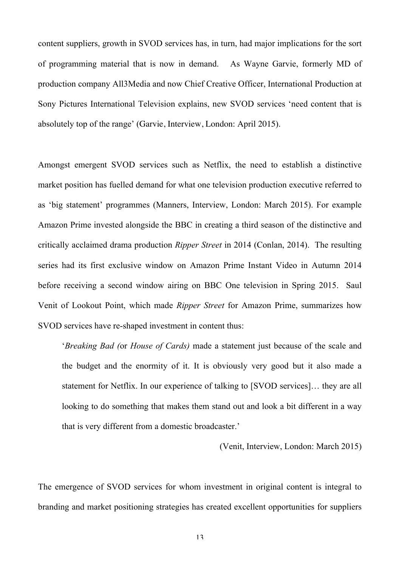content suppliers, growth in SVOD services has, in turn, had major implications for the sort of programming material that is now in demand. As Wayne Garvie, formerly MD of production company All3Media and now Chief Creative Officer, International Production at Sony Pictures International Television explains, new SVOD services 'need content that is absolutely top of the range' (Garvie, Interview, London: April 2015).

Amongst emergent SVOD services such as Netflix, the need to establish a distinctive market position has fuelled demand for what one television production executive referred to as 'big statement' programmes (Manners, Interview, London: March 2015). For example Amazon Prime invested alongside the BBC in creating a third season of the distinctive and critically acclaimed drama production *Ripper Street* in 2014 (Conlan, 2014). The resulting series had its first exclusive window on Amazon Prime Instant Video in Autumn 2014 before receiving a second window airing on BBC One television in Spring 2015. Saul Venit of Lookout Point, which made *Ripper Street* for Amazon Prime, summarizes how SVOD services have re-shaped investment in content thus:

'*Breaking Bad (*or *House of Cards)* made a statement just because of the scale and the budget and the enormity of it. It is obviously very good but it also made a statement for Netflix. In our experience of talking to [SVOD services]… they are all looking to do something that makes them stand out and look a bit different in a way that is very different from a domestic broadcaster.'

(Venit, Interview, London: March 2015)

The emergence of SVOD services for whom investment in original content is integral to branding and market positioning strategies has created excellent opportunities for suppliers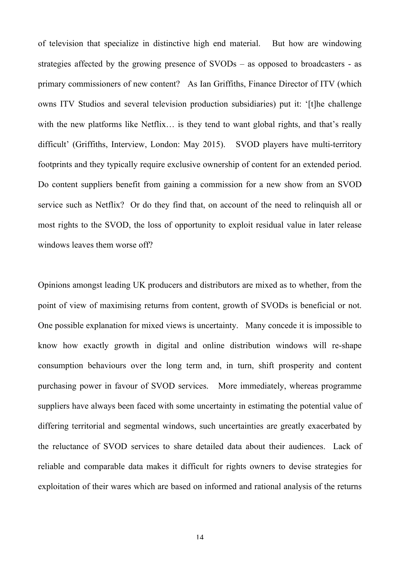of television that specialize in distinctive high end material. But how are windowing strategies affected by the growing presence of SVODs – as opposed to broadcasters - as primary commissioners of new content? As Ian Griffiths, Finance Director of ITV (which owns ITV Studios and several television production subsidiaries) put it: '[t]he challenge with the new platforms like Netflix... is they tend to want global rights, and that's really difficult' (Griffiths, Interview, London: May 2015). SVOD players have multi-territory footprints and they typically require exclusive ownership of content for an extended period. Do content suppliers benefit from gaining a commission for a new show from an SVOD service such as Netflix? Or do they find that, on account of the need to relinquish all or most rights to the SVOD, the loss of opportunity to exploit residual value in later release windows leaves them worse off?

Opinions amongst leading UK producers and distributors are mixed as to whether, from the point of view of maximising returns from content, growth of SVODs is beneficial or not. One possible explanation for mixed views is uncertainty. Many concede it is impossible to know how exactly growth in digital and online distribution windows will re-shape consumption behaviours over the long term and, in turn, shift prosperity and content purchasing power in favour of SVOD services. More immediately, whereas programme suppliers have always been faced with some uncertainty in estimating the potential value of differing territorial and segmental windows, such uncertainties are greatly exacerbated by the reluctance of SVOD services to share detailed data about their audiences. Lack of reliable and comparable data makes it difficult for rights owners to devise strategies for exploitation of their wares which are based on informed and rational analysis of the returns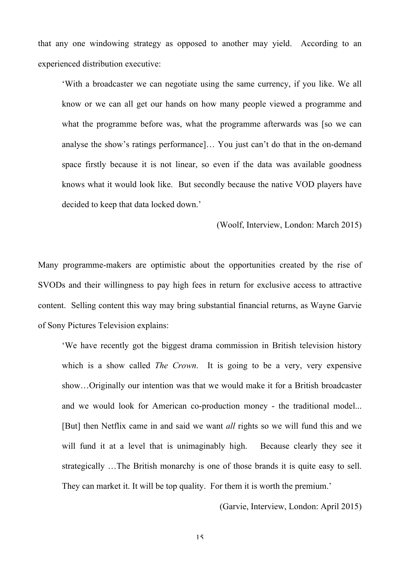that any one windowing strategy as opposed to another may yield. According to an experienced distribution executive:

'With a broadcaster we can negotiate using the same currency, if you like. We all know or we can all get our hands on how many people viewed a programme and what the programme before was, what the programme afterwards was [so we can analyse the show's ratings performance]… You just can't do that in the on-demand space firstly because it is not linear, so even if the data was available goodness knows what it would look like. But secondly because the native VOD players have decided to keep that data locked down.'

(Woolf, Interview, London: March 2015)

Many programme-makers are optimistic about the opportunities created by the rise of SVODs and their willingness to pay high fees in return for exclusive access to attractive content. Selling content this way may bring substantial financial returns, as Wayne Garvie of Sony Pictures Television explains:

'We have recently got the biggest drama commission in British television history which is a show called *The Crown*. It is going to be a very, very expensive show…Originally our intention was that we would make it for a British broadcaster and we would look for American co-production money - the traditional model... [But] then Netflix came in and said we want *all* rights so we will fund this and we will fund it at a level that is unimaginably high. Because clearly they see it strategically …The British monarchy is one of those brands it is quite easy to sell. They can market it. It will be top quality. For them it is worth the premium.'

(Garvie, Interview, London: April 2015)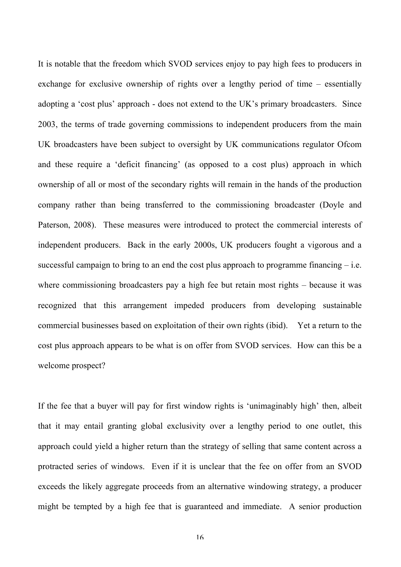It is notable that the freedom which SVOD services enjoy to pay high fees to producers in exchange for exclusive ownership of rights over a lengthy period of time – essentially adopting a 'cost plus' approach - does not extend to the UK's primary broadcasters. Since 2003, the terms of trade governing commissions to independent producers from the main UK broadcasters have been subject to oversight by UK communications regulator Ofcom and these require a 'deficit financing' (as opposed to a cost plus) approach in which ownership of all or most of the secondary rights will remain in the hands of the production company rather than being transferred to the commissioning broadcaster (Doyle and Paterson, 2008). These measures were introduced to protect the commercial interests of independent producers. Back in the early 2000s, UK producers fought a vigorous and a successful campaign to bring to an end the cost plus approach to programme financing  $-$  i.e. where commissioning broadcasters pay a high fee but retain most rights – because it was recognized that this arrangement impeded producers from developing sustainable commercial businesses based on exploitation of their own rights (ibid). Yet a return to the cost plus approach appears to be what is on offer from SVOD services. How can this be a welcome prospect?

If the fee that a buyer will pay for first window rights is 'unimaginably high' then, albeit that it may entail granting global exclusivity over a lengthy period to one outlet, this approach could yield a higher return than the strategy of selling that same content across a protracted series of windows. Even if it is unclear that the fee on offer from an SVOD exceeds the likely aggregate proceeds from an alternative windowing strategy, a producer might be tempted by a high fee that is guaranteed and immediate. A senior production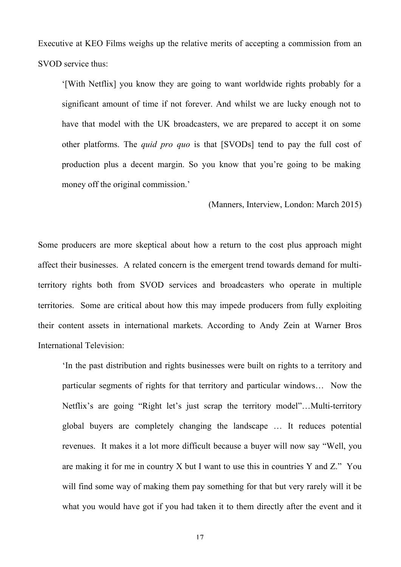Executive at KEO Films weighs up the relative merits of accepting a commission from an SVOD service thus:

'[With Netflix] you know they are going to want worldwide rights probably for a significant amount of time if not forever. And whilst we are lucky enough not to have that model with the UK broadcasters, we are prepared to accept it on some other platforms. The *quid pro quo* is that [SVODs] tend to pay the full cost of production plus a decent margin. So you know that you're going to be making money off the original commission.'

(Manners, Interview, London: March 2015)

Some producers are more skeptical about how a return to the cost plus approach might affect their businesses. A related concern is the emergent trend towards demand for multiterritory rights both from SVOD services and broadcasters who operate in multiple territories. Some are critical about how this may impede producers from fully exploiting their content assets in international markets. According to Andy Zein at Warner Bros International Television:

'In the past distribution and rights businesses were built on rights to a territory and particular segments of rights for that territory and particular windows… Now the Netflix's are going "Right let's just scrap the territory model"…Multi-territory global buyers are completely changing the landscape … It reduces potential revenues. It makes it a lot more difficult because a buyer will now say "Well, you are making it for me in country X but I want to use this in countries Y and Z." You will find some way of making them pay something for that but very rarely will it be what you would have got if you had taken it to them directly after the event and it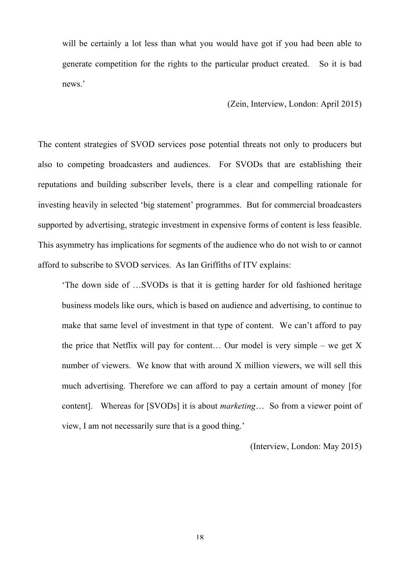will be certainly a lot less than what you would have got if you had been able to generate competition for the rights to the particular product created. So it is bad news.'

(Zein, Interview, London: April 2015)

The content strategies of SVOD services pose potential threats not only to producers but also to competing broadcasters and audiences. For SVODs that are establishing their reputations and building subscriber levels, there is a clear and compelling rationale for investing heavily in selected 'big statement' programmes. But for commercial broadcasters supported by advertising, strategic investment in expensive forms of content is less feasible. This asymmetry has implications for segments of the audience who do not wish to or cannot afford to subscribe to SVOD services. As Ian Griffiths of ITV explains:

'The down side of …SVODs is that it is getting harder for old fashioned heritage business models like ours, which is based on audience and advertising, to continue to make that same level of investment in that type of content. We can't afford to pay the price that Netflix will pay for content... Our model is very simple – we get  $X$ number of viewers. We know that with around X million viewers, we will sell this much advertising. Therefore we can afford to pay a certain amount of money [for content]. Whereas for [SVODs] it is about *marketing*… So from a viewer point of view, I am not necessarily sure that is a good thing.'

(Interview, London: May 2015)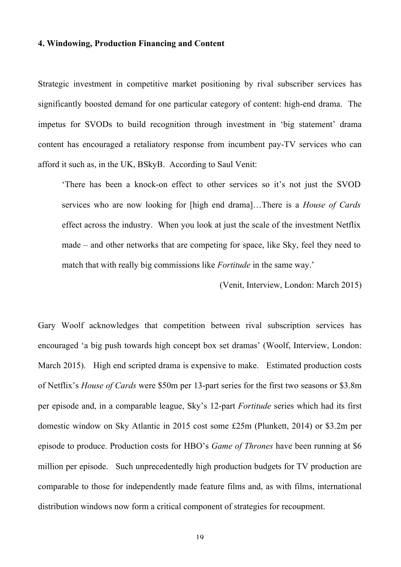#### **4. Windowing, Production Financing and Content**

Strategic investment in competitive market positioning by rival subscriber services has significantly boosted demand for one particular category of content: high-end drama. The impetus for SVODs to build recognition through investment in 'big statement' drama content has encouraged a retaliatory response from incumbent pay-TV services who can afford it such as, in the UK, BSkyB. According to Saul Venit:

'There has been a knock-on effect to other services so it's not just the SVOD services who are now looking for [high end drama]…There is a *House of Cards* effect across the industry. When you look at just the scale of the investment Netflix made – and other networks that are competing for space, like Sky, feel they need to match that with really big commissions like *Fortitude* in the same way.'

(Venit, Interview, London: March 2015)

Gary Woolf acknowledges that competition between rival subscription services has encouraged 'a big push towards high concept box set dramas' (Woolf, Interview, London: March 2015). High end scripted drama is expensive to make. Estimated production costs of Netflix's *House of Cards* were \$50m per 13-part series for the first two seasons or \$3.8m per episode and, in a comparable league, Sky's 12-part *Fortitude* series which had its first domestic window on Sky Atlantic in 2015 cost some £25m (Plunkett, 2014) or \$3.2m per episode to produce. Production costs for HBO's *Game of Thrones* have been running at \$6 million per episode. Such unprecedentedly high production budgets for TV production are comparable to those for independently made feature films and, as with films, international distribution windows now form a critical component of strategies for recoupment.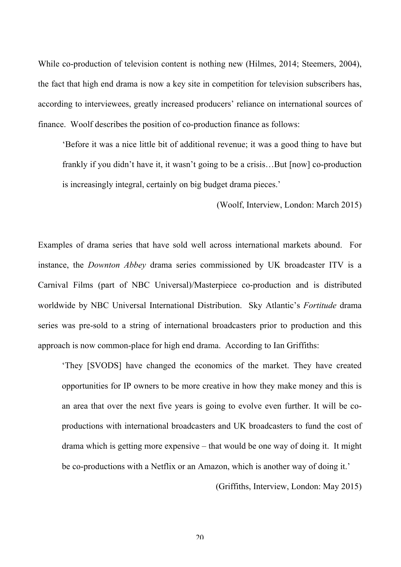While co-production of television content is nothing new (Hilmes, 2014; Steemers, 2004), the fact that high end drama is now a key site in competition for television subscribers has, according to interviewees, greatly increased producers' reliance on international sources of finance. Woolf describes the position of co-production finance as follows:

'Before it was a nice little bit of additional revenue; it was a good thing to have but frankly if you didn't have it, it wasn't going to be a crisis…But [now] co-production is increasingly integral, certainly on big budget drama pieces.'

(Woolf, Interview, London: March 2015)

Examples of drama series that have sold well across international markets abound. For instance, the *Downton Abbey* drama series commissioned by UK broadcaster ITV is a Carnival Films (part of NBC Universal)/Masterpiece co-production and is distributed worldwide by NBC Universal International Distribution. Sky Atlantic's *Fortitude* drama series was pre-sold to a string of international broadcasters prior to production and this approach is now common-place for high end drama. According to Ian Griffiths:

'They [SVODS] have changed the economics of the market. They have created opportunities for IP owners to be more creative in how they make money and this is an area that over the next five years is going to evolve even further. It will be coproductions with international broadcasters and UK broadcasters to fund the cost of drama which is getting more expensive – that would be one way of doing it. It might be co-productions with a Netflix or an Amazon, which is another way of doing it.'

(Griffiths, Interview, London: May 2015)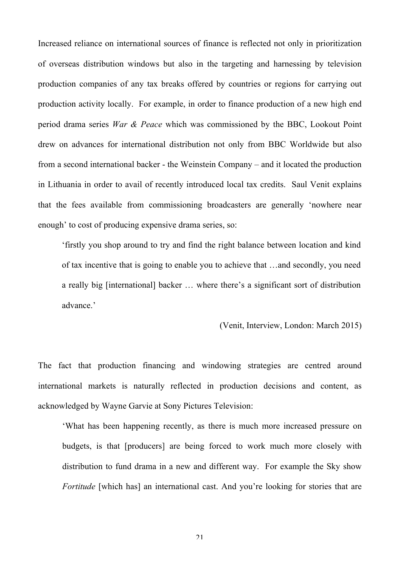Increased reliance on international sources of finance is reflected not only in prioritization of overseas distribution windows but also in the targeting and harnessing by television production companies of any tax breaks offered by countries or regions for carrying out production activity locally. For example, in order to finance production of a new high end period drama series *War & Peace* which was commissioned by the BBC, Lookout Point drew on advances for international distribution not only from BBC Worldwide but also from a second international backer - the Weinstein Company – and it located the production in Lithuania in order to avail of recently introduced local tax credits. Saul Venit explains that the fees available from commissioning broadcasters are generally 'nowhere near enough' to cost of producing expensive drama series, so:

'firstly you shop around to try and find the right balance between location and kind of tax incentive that is going to enable you to achieve that …and secondly, you need a really big [international] backer … where there's a significant sort of distribution advance.'

(Venit, Interview, London: March 2015)

The fact that production financing and windowing strategies are centred around international markets is naturally reflected in production decisions and content, as acknowledged by Wayne Garvie at Sony Pictures Television:

'What has been happening recently, as there is much more increased pressure on budgets, is that [producers] are being forced to work much more closely with distribution to fund drama in a new and different way. For example the Sky show *Fortitude* [which has] an international cast. And you're looking for stories that are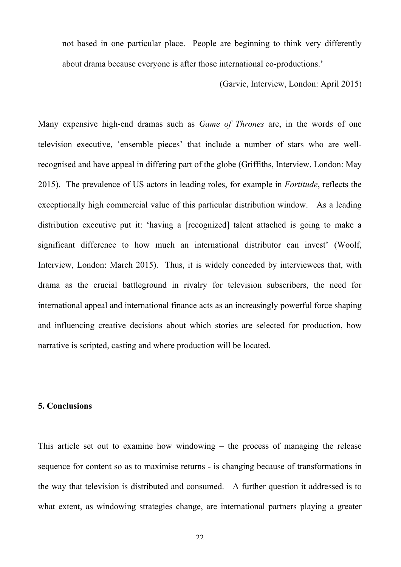not based in one particular place. People are beginning to think very differently about drama because everyone is after those international co-productions.'

(Garvie, Interview, London: April 2015)

Many expensive high-end dramas such as *Game of Thrones* are, in the words of one television executive, 'ensemble pieces' that include a number of stars who are wellrecognised and have appeal in differing part of the globe (Griffiths, Interview, London: May 2015). The prevalence of US actors in leading roles, for example in *Fortitude*, reflects the exceptionally high commercial value of this particular distribution window. As a leading distribution executive put it: 'having a [recognized] talent attached is going to make a significant difference to how much an international distributor can invest' (Woolf, Interview, London: March 2015). Thus, it is widely conceded by interviewees that, with drama as the crucial battleground in rivalry for television subscribers, the need for international appeal and international finance acts as an increasingly powerful force shaping and influencing creative decisions about which stories are selected for production, how narrative is scripted, casting and where production will be located.

## **5. Conclusions**

This article set out to examine how windowing – the process of managing the release sequence for content so as to maximise returns - is changing because of transformations in the way that television is distributed and consumed. A further question it addressed is to what extent, as windowing strategies change, are international partners playing a greater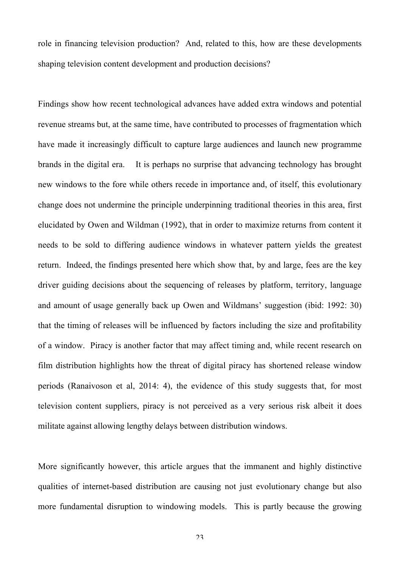role in financing television production? And, related to this, how are these developments shaping television content development and production decisions?

Findings show how recent technological advances have added extra windows and potential revenue streams but, at the same time, have contributed to processes of fragmentation which have made it increasingly difficult to capture large audiences and launch new programme brands in the digital era. It is perhaps no surprise that advancing technology has brought new windows to the fore while others recede in importance and, of itself, this evolutionary change does not undermine the principle underpinning traditional theories in this area, first elucidated by Owen and Wildman (1992), that in order to maximize returns from content it needs to be sold to differing audience windows in whatever pattern yields the greatest return. Indeed, the findings presented here which show that, by and large, fees are the key driver guiding decisions about the sequencing of releases by platform, territory, language and amount of usage generally back up Owen and Wildmans' suggestion (ibid: 1992: 30) that the timing of releases will be influenced by factors including the size and profitability of a window. Piracy is another factor that may affect timing and, while recent research on film distribution highlights how the threat of digital piracy has shortened release window periods (Ranaivoson et al, 2014: 4), the evidence of this study suggests that, for most television content suppliers, piracy is not perceived as a very serious risk albeit it does militate against allowing lengthy delays between distribution windows.

More significantly however, this article argues that the immanent and highly distinctive qualities of internet-based distribution are causing not just evolutionary change but also more fundamental disruption to windowing models. This is partly because the growing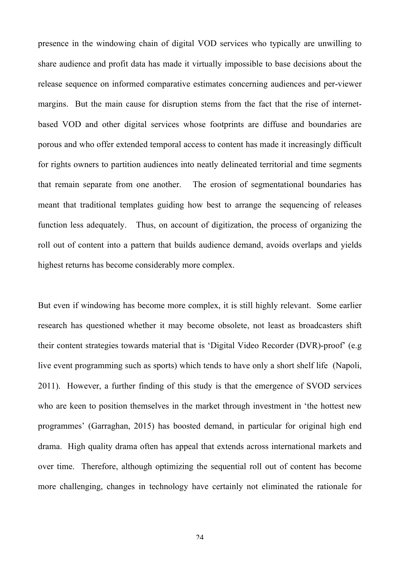presence in the windowing chain of digital VOD services who typically are unwilling to share audience and profit data has made it virtually impossible to base decisions about the release sequence on informed comparative estimates concerning audiences and per-viewer margins. But the main cause for disruption stems from the fact that the rise of internetbased VOD and other digital services whose footprints are diffuse and boundaries are porous and who offer extended temporal access to content has made it increasingly difficult for rights owners to partition audiences into neatly delineated territorial and time segments that remain separate from one another. The erosion of segmentational boundaries has meant that traditional templates guiding how best to arrange the sequencing of releases function less adequately. Thus, on account of digitization, the process of organizing the roll out of content into a pattern that builds audience demand, avoids overlaps and yields highest returns has become considerably more complex.

But even if windowing has become more complex, it is still highly relevant. Some earlier research has questioned whether it may become obsolete, not least as broadcasters shift their content strategies towards material that is 'Digital Video Recorder (DVR)-proof' (e.g live event programming such as sports) which tends to have only a short shelf life (Napoli, 2011). However, a further finding of this study is that the emergence of SVOD services who are keen to position themselves in the market through investment in 'the hottest new programmes' (Garraghan, 2015) has boosted demand, in particular for original high end drama. High quality drama often has appeal that extends across international markets and over time. Therefore, although optimizing the sequential roll out of content has become more challenging, changes in technology have certainly not eliminated the rationale for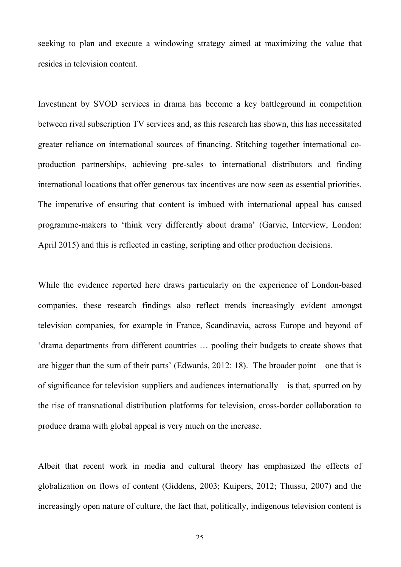seeking to plan and execute a windowing strategy aimed at maximizing the value that resides in television content.

Investment by SVOD services in drama has become a key battleground in competition between rival subscription TV services and, as this research has shown, this has necessitated greater reliance on international sources of financing. Stitching together international coproduction partnerships, achieving pre-sales to international distributors and finding international locations that offer generous tax incentives are now seen as essential priorities. The imperative of ensuring that content is imbued with international appeal has caused programme-makers to 'think very differently about drama' (Garvie, Interview, London: April 2015) and this is reflected in casting, scripting and other production decisions.

While the evidence reported here draws particularly on the experience of London-based companies, these research findings also reflect trends increasingly evident amongst television companies, for example in France, Scandinavia, across Europe and beyond of 'drama departments from different countries … pooling their budgets to create shows that are bigger than the sum of their parts' (Edwards, 2012: 18). The broader point – one that is of significance for television suppliers and audiences internationally – is that, spurred on by the rise of transnational distribution platforms for television, cross-border collaboration to produce drama with global appeal is very much on the increase.

Albeit that recent work in media and cultural theory has emphasized the effects of globalization on flows of content (Giddens, 2003; Kuipers, 2012; Thussu, 2007) and the increasingly open nature of culture, the fact that, politically, indigenous television content is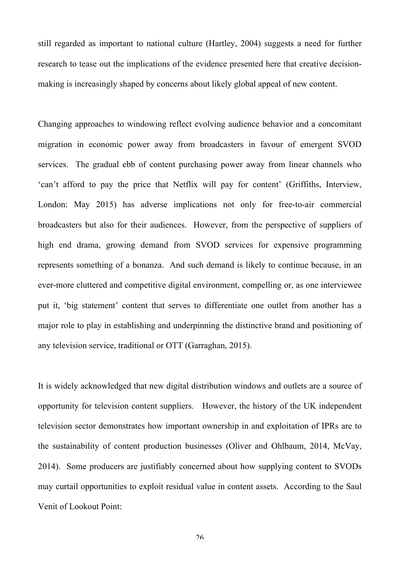still regarded as important to national culture (Hartley, 2004) suggests a need for further research to tease out the implications of the evidence presented here that creative decisionmaking is increasingly shaped by concerns about likely global appeal of new content.

Changing approaches to windowing reflect evolving audience behavior and a concomitant migration in economic power away from broadcasters in favour of emergent SVOD services. The gradual ebb of content purchasing power away from linear channels who 'can't afford to pay the price that Netflix will pay for content' (Griffiths, Interview, London: May 2015) has adverse implications not only for free-to-air commercial broadcasters but also for their audiences. However, from the perspective of suppliers of high end drama, growing demand from SVOD services for expensive programming represents something of a bonanza. And such demand is likely to continue because, in an ever-more cluttered and competitive digital environment, compelling or, as one interviewee put it, 'big statement' content that serves to differentiate one outlet from another has a major role to play in establishing and underpinning the distinctive brand and positioning of any television service, traditional or OTT (Garraghan, 2015).

It is widely acknowledged that new digital distribution windows and outlets are a source of opportunity for television content suppliers. However, the history of the UK independent television sector demonstrates how important ownership in and exploitation of IPRs are to the sustainability of content production businesses (Oliver and Ohlbaum, 2014, McVay, 2014). Some producers are justifiably concerned about how supplying content to SVODs may curtail opportunities to exploit residual value in content assets. According to the Saul Venit of Lookout Point: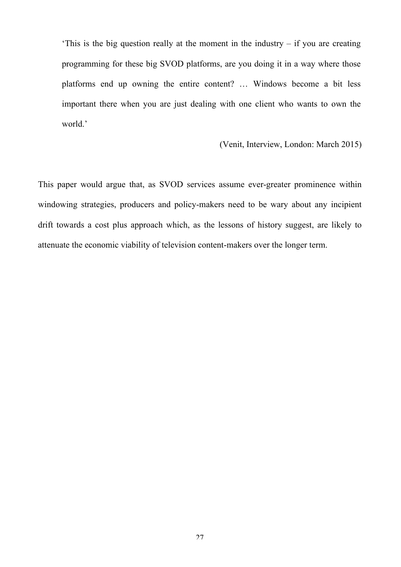This is the big question really at the moment in the industry  $-$  if you are creating programming for these big SVOD platforms, are you doing it in a way where those platforms end up owning the entire content? … Windows become a bit less important there when you are just dealing with one client who wants to own the world.'

#### (Venit, Interview, London: March 2015)

This paper would argue that, as SVOD services assume ever-greater prominence within windowing strategies, producers and policy-makers need to be wary about any incipient drift towards a cost plus approach which, as the lessons of history suggest, are likely to attenuate the economic viability of television content-makers over the longer term.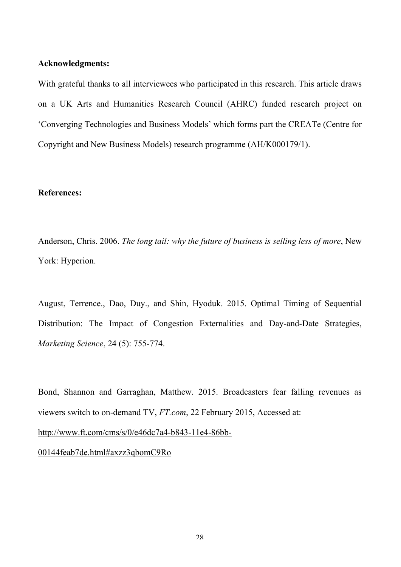#### **Acknowledgments:**

With grateful thanks to all interviewees who participated in this research. This article draws on a UK Arts and Humanities Research Council (AHRC) funded research project on 'Converging Technologies and Business Models' which forms part the CREATe (Centre for Copyright and New Business Models) research programme (AH/K000179/1).

#### **References:**

Anderson, Chris. 2006. *The long tail: why the future of business is selling less of more*, New York: Hyperion.

August, Terrence., Dao, Duy., and Shin, Hyoduk. 2015. Optimal Timing of Sequential Distribution: The Impact of Congestion Externalities and Day-and-Date Strategies, *Marketing Science*, 24 (5): 755-774.

Bond, Shannon and Garraghan, Matthew. 2015. Broadcasters fear falling revenues as viewers switch to on-demand TV, *FT.com*, 22 February 2015, Accessed at: http://www.ft.com/cms/s/0/e46dc7a4-b843-11e4-86bb-00144feab7de.html#axzz3qbomC9Ro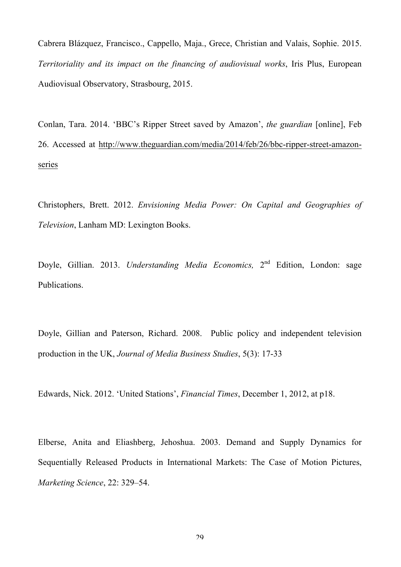Cabrera Blázquez, Francisco., Cappello, Maja., Grece, Christian and Valais, Sophie. 2015. *Territoriality and its impact on the financing of audiovisual works*, Iris Plus, European Audiovisual Observatory, Strasbourg, 2015.

Conlan, Tara. 2014. 'BBC's Ripper Street saved by Amazon', *the guardian* [online], Feb 26. Accessed at http://www.theguardian.com/media/2014/feb/26/bbc-ripper-street-amazonseries

Christophers, Brett. 2012. *Envisioning Media Power: On Capital and Geographies of Television*, Lanham MD: Lexington Books.

Doyle, Gillian. 2013. *Understanding Media Economics,* 2nd Edition, London: sage Publications.

Doyle, Gillian and Paterson, Richard. 2008. Public policy and independent television production in the UK, *Journal of Media Business Studies*, 5(3): 17-33

Edwards, Nick. 2012. 'United Stations', *Financial Times*, December 1, 2012, at p18.

Elberse, Anita and Eliashberg, Jehoshua. 2003. Demand and Supply Dynamics for Sequentially Released Products in International Markets: The Case of Motion Pictures, *Marketing Science*, 22: 329–54.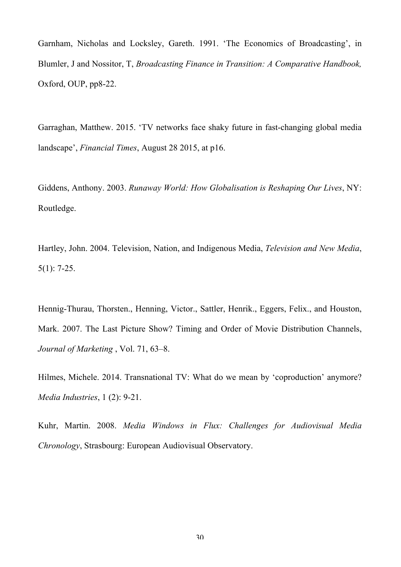Garnham, Nicholas and Locksley, Gareth. 1991. 'The Economics of Broadcasting', in Blumler, J and Nossitor, T, *Broadcasting Finance in Transition: A Comparative Handbook,* Oxford, OUP, pp8-22.

Garraghan, Matthew. 2015. 'TV networks face shaky future in fast-changing global media landscape', *Financial Times*, August 28 2015, at p16.

Giddens, Anthony. 2003. *Runaway World: How Globalisation is Reshaping Our Lives*, NY: Routledge.

Hartley, John. 2004. Television, Nation, and Indigenous Media, *Television and New Media*, 5(1): 7-25.

Hennig-Thurau, Thorsten., Henning, Victor., Sattler, Henrik., Eggers, Felix., and Houston, Mark. 2007. The Last Picture Show? Timing and Order of Movie Distribution Channels, *Journal of Marketing* , Vol. 71, 63–8.

Hilmes, Michele. 2014. Transnational TV: What do we mean by 'coproduction' anymore? *Media Industries*, 1 (2): 9-21.

Kuhr, Martin. 2008. *Media Windows in Flux: Challenges for Audiovisual Media Chronology*, Strasbourg: European Audiovisual Observatory.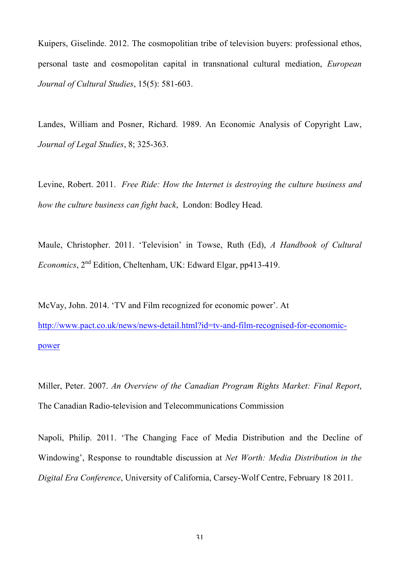Kuipers, Giselinde. 2012. The cosmopolitian tribe of television buyers: professional ethos, personal taste and cosmopolitan capital in transnational cultural mediation, *European Journal of Cultural Studies*, 15(5): 581-603.

Landes, William and Posner, Richard. 1989. An Economic Analysis of Copyright Law, *Journal of Legal Studies*, 8; 325-363.

Levine, Robert. 2011. *Free Ride: How the Internet is destroying the culture business and how the culture business can fight back*, London: Bodley Head.

Maule, Christopher. 2011. 'Television' in Towse, Ruth (Ed), *A Handbook of Cultural Economics*, 2nd Edition, Cheltenham, UK: Edward Elgar, pp413-419.

McVay, John. 2014. 'TV and Film recognized for economic power'. At http://www.pact.co.uk/news/news-detail.html?id=tv-and-film-recognised-for-economicpower

Miller, Peter. 2007. *An Overview of the Canadian Program Rights Market: Final Report*, The Canadian Radio-television and Telecommunications Commission

Napoli, Philip. 2011. 'The Changing Face of Media Distribution and the Decline of Windowing', Response to roundtable discussion at *Net Worth: Media Distribution in the Digital Era Conference*, University of California, Carsey-Wolf Centre, February 18 2011.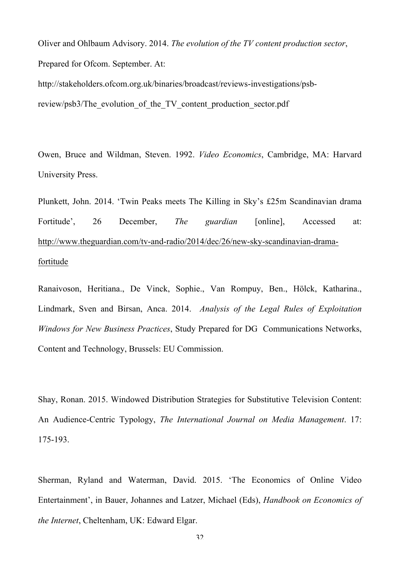Oliver and Ohlbaum Advisory. 2014. *The evolution of the TV content production sector*, Prepared for Ofcom. September. At:

http://stakeholders.ofcom.org.uk/binaries/broadcast/reviews-investigations/psbreview/psb3/The\_evolution\_of\_the\_TV\_content\_production\_sector.pdf

Owen, Bruce and Wildman, Steven. 1992. *Video Economics*, Cambridge, MA: Harvard University Press.

Plunkett, John. 2014. 'Twin Peaks meets The Killing in Sky's £25m Scandinavian drama Fortitude', 26 December, *The guardian* [online], Accessed at: http://www.theguardian.com/tv-and-radio/2014/dec/26/new-sky-scandinavian-dramafortitude

Ranaivoson, Heritiana., De Vinck, Sophie., Van Rompuy, Ben., Hölck, Katharina., Lindmark, Sven and Birsan, Anca. 2014. *Analysis of the Legal Rules of Exploitation Windows for New Business Practices*, Study Prepared for DG Communications Networks, Content and Technology, Brussels: EU Commission.

Shay, Ronan. 2015. Windowed Distribution Strategies for Substitutive Television Content: An Audience-Centric Typology, *The International Journal on Media Management*. 17: 175-193.

Sherman, Ryland and Waterman, David. 2015. 'The Economics of Online Video Entertainment', in Bauer, Johannes and Latzer, Michael (Eds), *Handbook on Economics of the Internet*, Cheltenham, UK: Edward Elgar.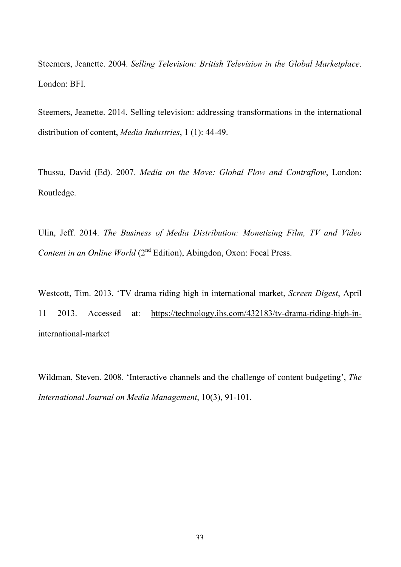Steemers, Jeanette. 2004. *Selling Television: British Television in the Global Marketplace*. London: BFI.

Steemers, Jeanette. 2014. Selling television: addressing transformations in the international distribution of content, *Media Industries*, 1 (1): 44-49.

Thussu, David (Ed). 2007. *Media on the Move: Global Flow and Contraflow*, London: Routledge.

Ulin, Jeff. 2014. *The Business of Media Distribution: Monetizing Film, TV and Video Content in an Online World* (2<sup>nd</sup> Edition), Abingdon, Oxon: Focal Press.

Westcott, Tim. 2013. 'TV drama riding high in international market, *Screen Digest*, April 11 2013. Accessed at: https://technology.ihs.com/432183/tv-drama-riding-high-ininternational-market

Wildman, Steven. 2008. 'Interactive channels and the challenge of content budgeting', *The International Journal on Media Management*, 10(3), 91-101.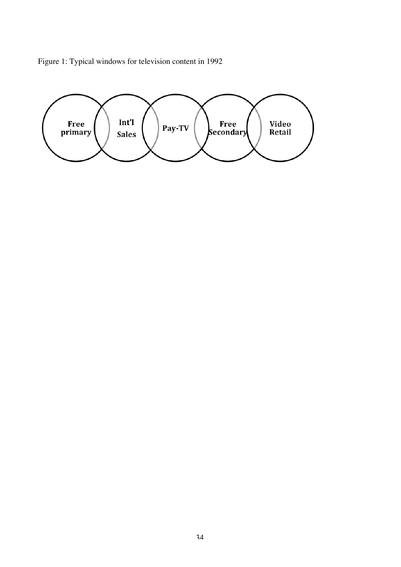Figure 1: Typical windows for television content in 1992